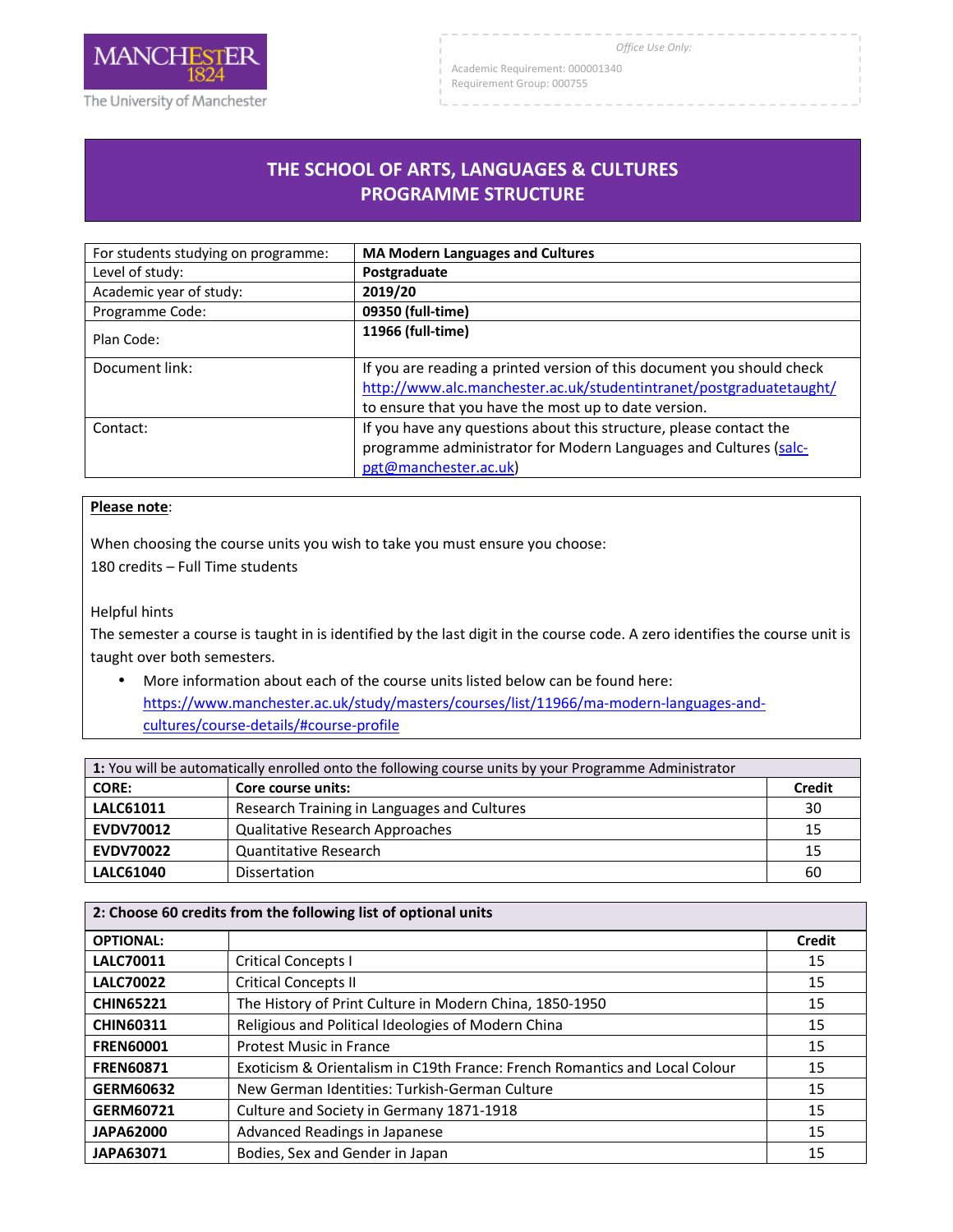

Academic Requirement: 000001340

Requirement Group: 000755

## **THE SCHOOL OF ARTS, LANGUAGES & CULTURES PROGRAMME STRUCTURE**

| For students studying on programme: | <b>MA Modern Languages and Cultures</b>                                                                                                                                                               |
|-------------------------------------|-------------------------------------------------------------------------------------------------------------------------------------------------------------------------------------------------------|
| Level of study:                     | Postgraduate                                                                                                                                                                                          |
| Academic year of study:             | 2019/20                                                                                                                                                                                               |
| Programme Code:                     | 09350 (full-time)                                                                                                                                                                                     |
| Plan Code:                          | 11966 (full-time)                                                                                                                                                                                     |
| Document link:                      | If you are reading a printed version of this document you should check<br>http://www.alc.manchester.ac.uk/studentintranet/postgraduatetaught/<br>to ensure that you have the most up to date version. |
| Contact:                            | If you have any questions about this structure, please contact the<br>programme administrator for Modern Languages and Cultures (salc-<br>pgt@manchester.ac.uk)                                       |

## **Please note**:

When choosing the course units you wish to take you must ensure you choose: 180 credits – Full Time students

Helpful hints

The semester a course is taught in is identified by the last digit in the course code. A zero identifies the course unit is taught over both semesters.

• More information about each of the course units listed below can be found here: https://www.manchester.ac.uk/study/masters/courses/list/11966/ma-modern-languages-andcultures/course-details/#course-profile

| 1: You will be automatically enrolled onto the following course units by your Programme Administrator |                                             |               |
|-------------------------------------------------------------------------------------------------------|---------------------------------------------|---------------|
| <b>CORE:</b>                                                                                          | Core course units:                          | <b>Credit</b> |
| <b>LALC61011</b>                                                                                      | Research Training in Languages and Cultures | 30            |
| <b>EVDV70012</b>                                                                                      | <b>Qualitative Research Approaches</b>      | 15            |
| <b>EVDV70022</b>                                                                                      | Quantitative Research                       | 15            |
| LALC61040                                                                                             | <b>Dissertation</b>                         | 60            |

| 2: Choose 60 credits from the following list of optional units |                                                                            |        |
|----------------------------------------------------------------|----------------------------------------------------------------------------|--------|
| <b>OPTIONAL:</b>                                               |                                                                            | Credit |
| <b>LALC70011</b>                                               | <b>Critical Concepts I</b>                                                 | 15     |
| <b>LALC70022</b>                                               | <b>Critical Concepts II</b>                                                | 15     |
| <b>CHIN65221</b>                                               | The History of Print Culture in Modern China, 1850-1950                    | 15     |
| <b>CHIN60311</b>                                               | Religious and Political Ideologies of Modern China                         | 15     |
| <b>FREN60001</b>                                               | <b>Protest Music in France</b>                                             | 15     |
| <b>FREN60871</b>                                               | Exoticism & Orientalism in C19th France: French Romantics and Local Colour | 15     |
| GERM60632                                                      | New German Identities: Turkish-German Culture                              | 15     |
| GERM60721                                                      | Culture and Society in Germany 1871-1918                                   | 15     |
| <b>JAPA62000</b>                                               | Advanced Readings in Japanese                                              | 15     |
| <b>JAPA63071</b>                                               | Bodies, Sex and Gender in Japan                                            | 15     |